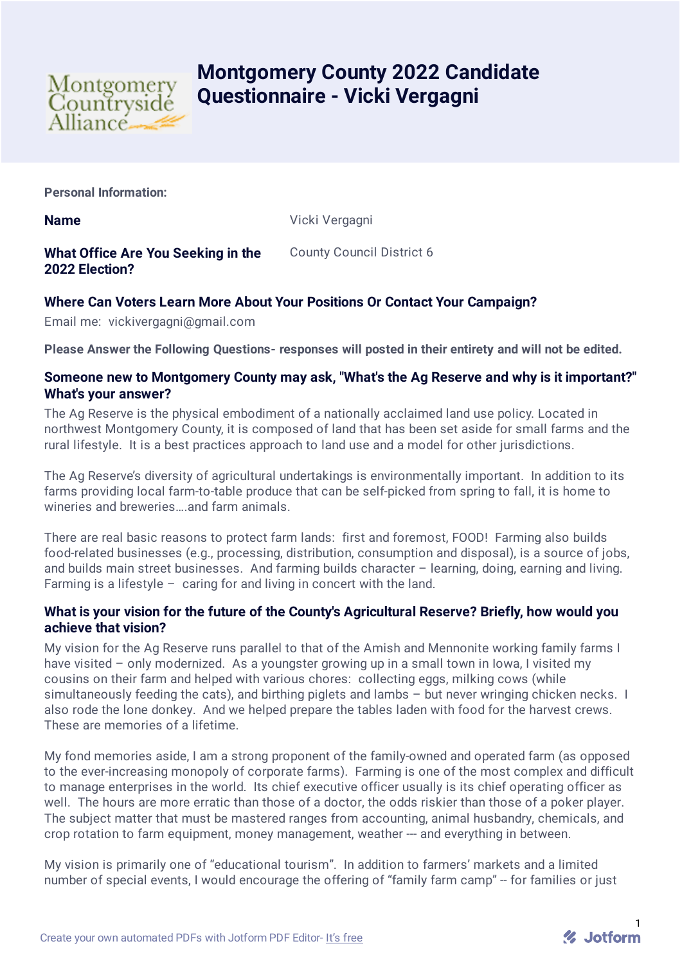

# **Montgomery County 2022 Candidate Questionnaire - Vicki Vergagni**

**Personal Information:**

**Name** Vicki Vergagni

**What Office Are You Seeking in the 2022 Election?**

County Council District 6

# **Where Can Voters Learn More About Your Positions Or Contact Your Campaign?**

Email me: vickivergagni@gmail.com

**Please Answer the Following Questions- responses will posted in their entirety and will not be edited.**

#### **Someone new to Montgomery County may ask, "What's the Ag Reserve and why is it important?" What's your answer?**

The Ag Reserve is the physical embodiment of a nationally acclaimed land use policy. Located in northwest Montgomery County, it is composed of land that has been set aside for small farms and the rural lifestyle. It is a best practices approach to land use and a model for other jurisdictions.

The Ag Reserve's diversity of agricultural undertakings is environmentally important. In addition to its farms providing local farm-to-table produce that can be self-picked from spring to fall, it is home to wineries and breweries….and farm animals.

There are real basic reasons to protect farm lands: first and foremost, FOOD! Farming also builds food-related businesses (e.g., processing, distribution, consumption and disposal), is a source of jobs, and builds main street businesses. And farming builds character – learning, doing, earning and living. Farming is a lifestyle – caring for and living in concert with the land.

## **What is your vision for the future of the County's Agricultural Reserve? Briefly, how would you achieve that vision?**

My vision for the Ag Reserve runs parallel to that of the Amish and Mennonite working family farms I have visited – only modernized. As a youngster growing up in a small town in lowa, I visited my cousins on their farm and helped with various chores: collecting eggs, milking cows (while simultaneously feeding the cats), and birthing piglets and lambs – but never wringing chicken necks. I also rode the lone donkey. And we helped prepare the tables laden with food for the harvest crews. These are memories of a lifetime.

My fond memories aside, I am a strong proponent of the family-owned and operated farm (as opposed to the ever-increasing monopoly of corporate farms). Farming is one of the most complex and difficult to manage enterprises in the world. Its chief executive officer usually is its chief operating officer as well. The hours are more erratic than those of a doctor, the odds riskier than those of a poker player. The subject matter that must be mastered ranges from accounting, animal husbandry, chemicals, and crop rotation to farm equipment, money management, weather --- and everything in between.

My vision is primarily one of "educational tourism". In addition to farmers' markets and a limited number of special events, I would encourage the offering of "family farm camp" -- for families or just

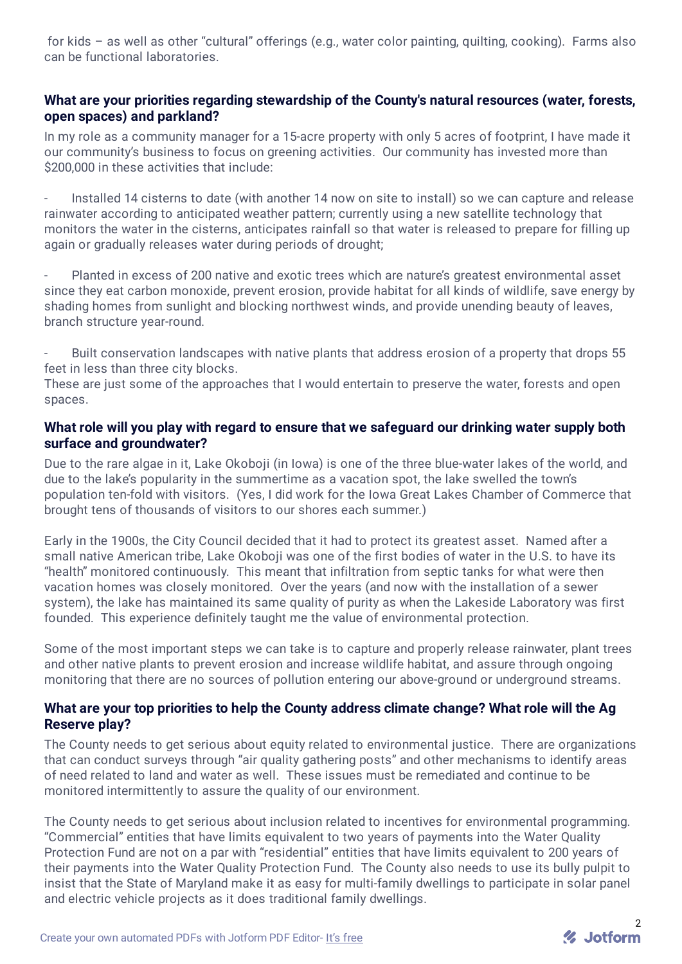for kids – as well as other "cultural" offerings (e.g., water color painting, quilting, cooking). Farms also can be functional laboratories.

## **What are your priorities regarding stewardship of the County's natural resources (water, forests, open spaces) and parkland?**

In my role as a community manager for a 15-acre property with only 5 acres of footprint, I have made it our community's business to focus on greening activities. Our community has invested more than \$200,000 in these activities that include:

- Installed 14 cisterns to date (with another 14 now on site to install) so we can capture and release rainwater according to anticipated weather pattern; currently using a new satellite technology that monitors the water in the cisterns, anticipates rainfall so that water is released to prepare for filling up again or gradually releases water during periods of drought;

- Planted in excess of 200 native and exotic trees which are nature's greatest environmental asset since they eat carbon monoxide, prevent erosion, provide habitat for all kinds of wildlife, save energy by shading homes from sunlight and blocking northwest winds, and provide unending beauty of leaves, branch structure year-round.

Built conservation landscapes with native plants that address erosion of a property that drops 55 feet in less than three city blocks.

These are just some of the approaches that I would entertain to preserve the water, forests and open spaces.

#### **What role will you play with regard to ensure that we safeguard our drinking water supply both surface and groundwater?**

Due to the rare algae in it, Lake Okoboji (in Iowa) is one of the three blue-water lakes of the world, and due to the lake's popularity in the summertime as a vacation spot, the lake swelled the town's population ten-fold with visitors. (Yes, I did work for the Iowa Great Lakes Chamber of Commerce that brought tens of thousands of visitors to our shores each summer.)

Early in the 1900s, the City Council decided that it had to protect its greatest asset. Named after a small native American tribe, Lake Okoboji was one of the first bodies of water in the U.S. to have its "health" monitored continuously. This meant that infiltration from septic tanks for what were then vacation homes was closely monitored. Over the years (and now with the installation of a sewer system), the lake has maintained its same quality of purity as when the Lakeside Laboratory was first founded. This experience definitely taught me the value of environmental protection.

Some of the most important steps we can take is to capture and properly release rainwater, plant trees and other native plants to prevent erosion and increase wildlife habitat, and assure through ongoing monitoring that there are no sources of pollution entering our above-ground or underground streams.

## **What are your top priorities to help the County address climate change? What role will the Ag Reserve play?**

The County needs to get serious about equity related to environmental justice. There are organizations that can conduct surveys through "air quality gathering posts" and other mechanisms to identify areas of need related to land and water as well. These issues must be remediated and continue to be monitored intermittently to assure the quality of our environment.

The County needs to get serious about inclusion related to incentives for environmental programming. "Commercial" entities that have limits equivalent to two years of payments into the Water Quality Protection Fund are not on a par with "residential" entities that have limits equivalent to 200 years of their payments into the Water Quality Protection Fund. The County also needs to use its bully pulpit to insist that the State of Maryland make it as easy for multi-family dwellings to participate in solar panel and electric vehicle projects as it does traditional family dwellings.

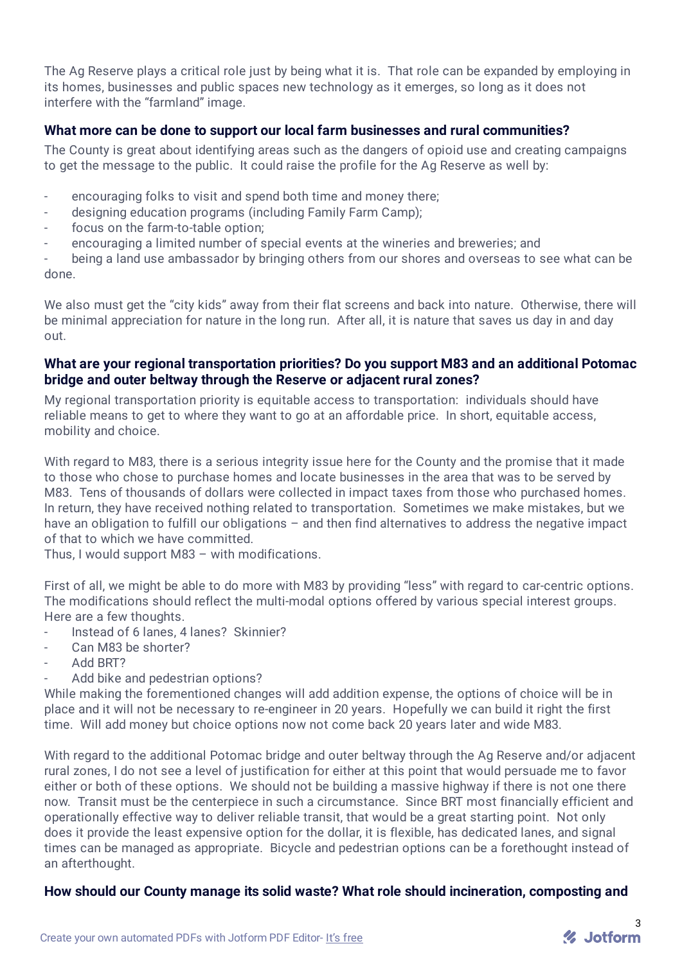The Ag Reserve plays a critical role just by being what it is. That role can be expanded by employing in its homes, businesses and public spaces new technology as it emerges, so long as it does not interfere with the "farmland" image.

#### **What more can be done to support our local farm businesses and rural communities?**

The County is great about identifying areas such as the dangers of opioid use and creating campaigns to get the message to the public. It could raise the profile for the Ag Reserve as well by:

- encouraging folks to visit and spend both time and money there;
- designing education programs (including Family Farm Camp);
- focus on the farm-to-table option;
- encouraging a limited number of special events at the wineries and breweries; and

being a land use ambassador by bringing others from our shores and overseas to see what can be done.

We also must get the "city kids" away from their flat screens and back into nature. Otherwise, there will be minimal appreciation for nature in the long run. After all, it is nature that saves us day in and day out.

#### **What are your regional transportation priorities? Do you support M83 and an additional Potomac bridge and outer beltway through the Reserve or adjacent rural zones?**

My regional transportation priority is equitable access to transportation: individuals should have reliable means to get to where they want to go at an affordable price. In short, equitable access, mobility and choice.

With regard to M83, there is a serious integrity issue here for the County and the promise that it made to those who chose to purchase homes and locate businesses in the area that was to be served by M83. Tens of thousands of dollars were collected in impact taxes from those who purchased homes. In return, they have received nothing related to transportation. Sometimes we make mistakes, but we have an obligation to fulfill our obligations – and then find alternatives to address the negative impact of that to which we have committed.

Thus, I would support M83 – with modifications.

First of all, we might be able to do more with M83 by providing "less" with regard to car-centric options. The modifications should reflect the multi-modal options offered by various special interest groups. Here are a few thoughts.

- Instead of 6 lanes, 4 lanes? Skinnier?
- Can M83 be shorter?
- Add BRT?
- Add bike and pedestrian options?

While making the forementioned changes will add addition expense, the options of choice will be in place and it will not be necessary to re-engineer in 20 years. Hopefully we can build it right the first time. Will add money but choice options now not come back 20 years later and wide M83.

With regard to the additional Potomac bridge and outer beltway through the Ag Reserve and/or adjacent rural zones, I do not see a level of justification for either at this point that would persuade me to favor either or both of these options. We should not be building a massive highway if there is not one there now. Transit must be the centerpiece in such a circumstance. Since BRT most financially efficient and operationally effective way to deliver reliable transit, that would be a great starting point. Not only does it provide the least expensive option for the dollar, it is flexible, has dedicated lanes, and signal times can be managed as appropriate. Bicycle and pedestrian options can be a forethought instead of an afterthought.

#### **How should our County manage its solid waste? What role should incineration, composting and**

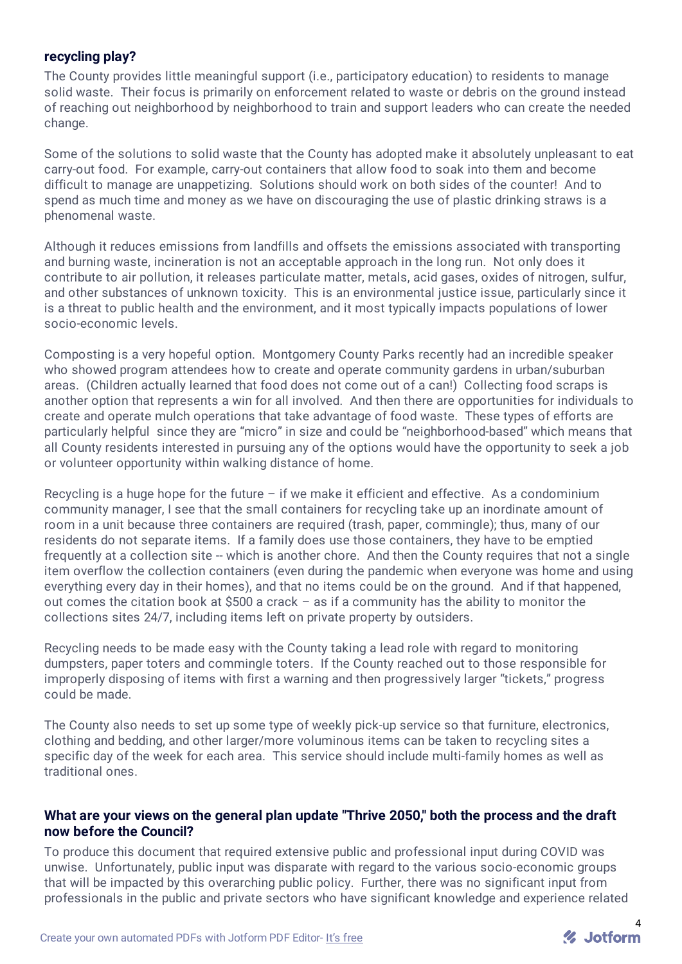#### **recycling play?**

The County provides little meaningful support (i.e., participatory education) to residents to manage solid waste. Their focus is primarily on enforcement related to waste or debris on the ground instead of reaching out neighborhood by neighborhood to train and support leaders who can create the needed change.

Some of the solutions to solid waste that the County has adopted make it absolutely unpleasant to eat carry-out food. For example, carry-out containers that allow food to soak into them and become difficult to manage are unappetizing. Solutions should work on both sides of the counter! And to spend as much time and money as we have on discouraging the use of plastic drinking straws is a phenomenal waste.

Although it reduces emissions from landfills and offsets the emissions associated with transporting and burning waste, incineration is not an acceptable approach in the long run. Not only does it contribute to air pollution, it releases particulate matter, metals, acid gases, oxides of nitrogen, sulfur, and other substances of unknown toxicity. This is an environmental justice issue, particularly since it is a threat to public health and the environment, and it most typically impacts populations of lower socio-economic levels.

Composting is a very hopeful option. Montgomery County Parks recently had an incredible speaker who showed program attendees how to create and operate community gardens in urban/suburban areas. (Children actually learned that food does not come out of a can!) Collecting food scraps is another option that represents a win for all involved. And then there are opportunities for individuals to create and operate mulch operations that take advantage of food waste. These types of efforts are particularly helpful since they are "micro" in size and could be "neighborhood-based" which means that all County residents interested in pursuing any of the options would have the opportunity to seek a job or volunteer opportunity within walking distance of home.

Recycling is a huge hope for the future  $-$  if we make it efficient and effective. As a condominium community manager, I see that the small containers for recycling take up an inordinate amount of room in a unit because three containers are required (trash, paper, commingle); thus, many of our residents do not separate items. If a family does use those containers, they have to be emptied frequently at a collection site -- which is another chore. And then the County requires that not a single item overflow the collection containers (even during the pandemic when everyone was home and using everything every day in their homes), and that no items could be on the ground. And if that happened, out comes the citation book at \$500 a crack – as if a community has the ability to monitor the collections sites 24/7, including items left on private property by outsiders.

Recycling needs to be made easy with the County taking a lead role with regard to monitoring dumpsters, paper toters and commingle toters. If the County reached out to those responsible for improperly disposing of items with first a warning and then progressively larger "tickets," progress could be made.

The County also needs to set up some type of weekly pick-up service so that furniture, electronics, clothing and bedding, and other larger/more voluminous items can be taken to recycling sites a specific day of the week for each area. This service should include multi-family homes as well as traditional ones.

#### **What are your views on the general plan update "Thrive 2050," both the process and the draft now before the Council?**

To produce this document that required extensive public and professional input during COVID was unwise. Unfortunately, public input was disparate with regard to the various socio-economic groups that will be impacted by this overarching public policy. Further, there was no significant input from professionals in the public and private sectors who have significant knowledge and experience related

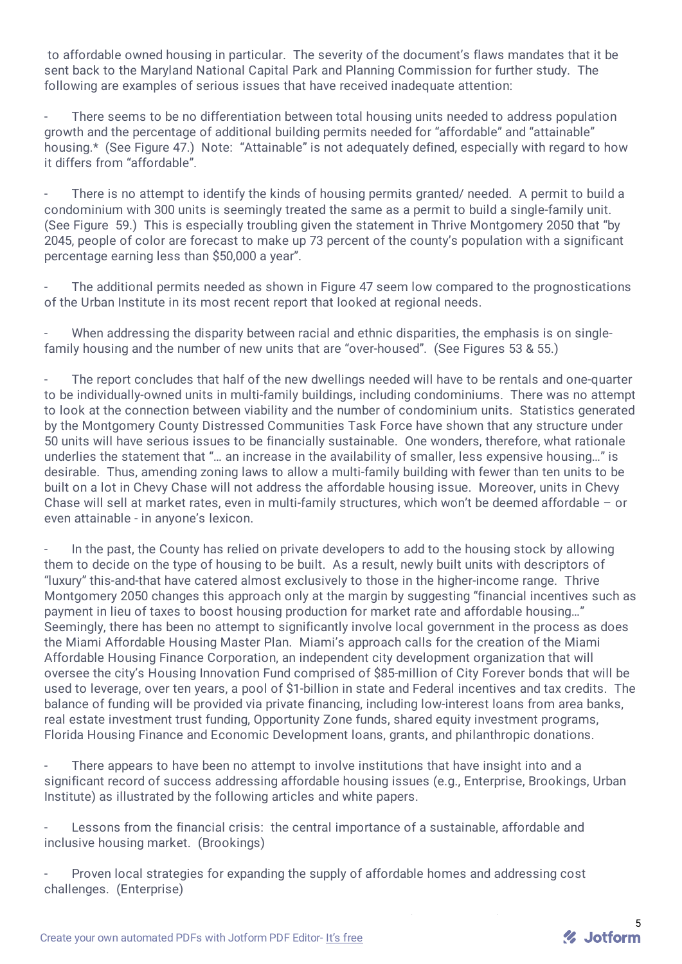to affordable owned housing in particular. The severity of the document's flaws mandates that it be sent back to the Maryland National Capital Park and Planning Commission for further study. The following are examples of serious issues that have received inadequate attention:

There seems to be no differentiation between total housing units needed to address population growth and the percentage of additional building permits needed for "affordable" and "attainable" housing.\* (See Figure 47.) Note: "Attainable" is not adequately defined, especially with regard to how it differs from "affordable".

There is no attempt to identify the kinds of housing permits granted/ needed. A permit to build a condominium with 300 units is seemingly treated the same as a permit to build a single-family unit. (See Figure 59.) This is especially troubling given the statement in Thrive Montgomery 2050 that "by 2045, people of color are forecast to make up 73 percent of the county's population with a significant percentage earning less than \$50,000 a year".

The additional permits needed as shown in Figure 47 seem low compared to the prognostications of the Urban Institute in its most recent report that looked at regional needs.

When addressing the disparity between racial and ethnic disparities, the emphasis is on singlefamily housing and the number of new units that are "over-housed". (See Figures 53 & 55.)

The report concludes that half of the new dwellings needed will have to be rentals and one-quarter to be individually-owned units in multi-family buildings, including condominiums. There was no attempt to look at the connection between viability and the number of condominium units. Statistics generated by the Montgomery County Distressed Communities Task Force have shown that any structure under 50 units will have serious issues to be financially sustainable. One wonders, therefore, what rationale underlies the statement that "… an increase in the availability of smaller, less expensive housing…" is desirable. Thus, amending zoning laws to allow a multi-family building with fewer than ten units to be built on a lot in Chevy Chase will not address the affordable housing issue. Moreover, units in Chevy Chase will sell at market rates, even in multi-family structures, which won't be deemed affordable – or even attainable - in anyone's lexicon.

- In the past, the County has relied on private developers to add to the housing stock by allowing them to decide on the type of housing to be built. As a result, newly built units with descriptors of "luxury" this-and-that have catered almost exclusively to those in the higher-income range. Thrive Montgomery 2050 changes this approach only at the margin by suggesting "financial incentives such as payment in lieu of taxes to boost housing production for market rate and affordable housing…" Seemingly, there has been no attempt to significantly involve local government in the process as does the Miami Affordable Housing Master Plan. Miami's approach calls for the creation of the Miami Affordable Housing Finance Corporation, an independent city development organization that will oversee the city's Housing Innovation Fund comprised of \$85-million of City Forever bonds that will be used to leverage, over ten years, a pool of \$1-billion in state and Federal incentives and tax credits. The balance of funding will be provided via private financing, including low-interest loans from area banks, real estate investment trust funding, Opportunity Zone funds, shared equity investment programs, Florida Housing Finance and Economic Development loans, grants, and philanthropic donations.

There appears to have been no attempt to involve institutions that have insight into and a significant record of success addressing affordable housing issues (e.g., Enterprise, Brookings, Urban Institute) as illustrated by the following articles and white papers.

Lessons from the financial crisis: the central importance of a sustainable, affordable and inclusive housing market. (Brookings)

- Proven local strategies for expanding the supply of affordable homes and addressing cost challenges. (Enterprise)

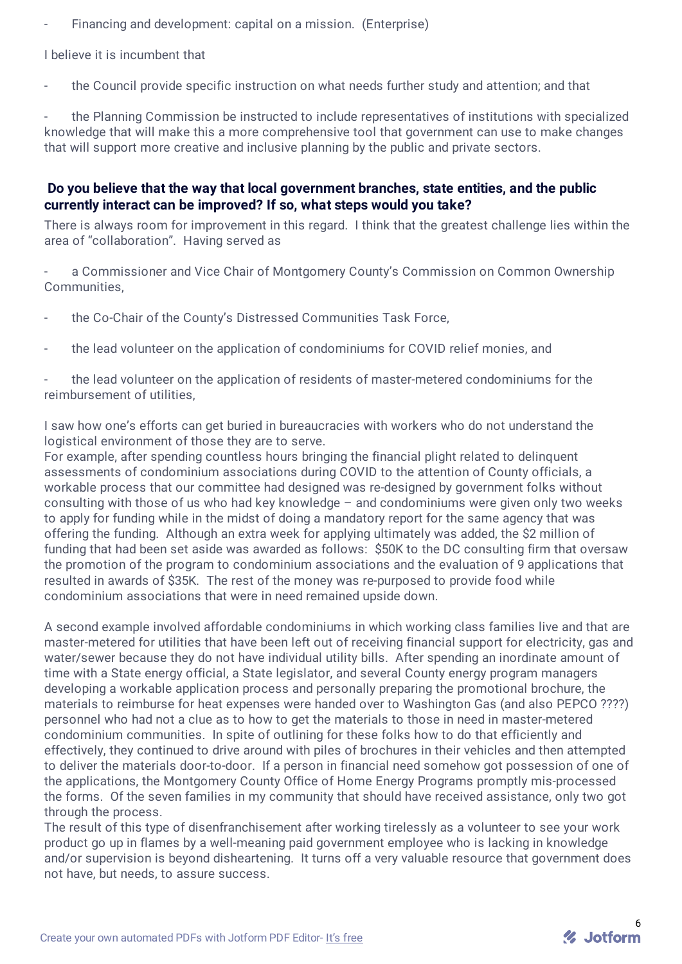Financing and development: capital on a mission. (Enterprise)

#### I believe it is incumbent that

the Council provide specific instruction on what needs further study and attention; and that

the Planning Commission be instructed to include representatives of institutions with specialized knowledge that will make this a more comprehensive tool that government can use to make changes that will support more creative and inclusive planning by the public and private sectors.

#### **Do you believe that the way that local government branches, state entities, and the public currently interact can be improved? If so, what steps would you take?**

There is always room for improvement in this regard. I think that the greatest challenge lies within the area of "collaboration". Having served as

a Commissioner and Vice Chair of Montgomery County's Commission on Common Ownership **Communities** 

- the Co-Chair of the County's Distressed Communities Task Force,
- the lead volunteer on the application of condominiums for COVID relief monies, and

- the lead volunteer on the application of residents of master-metered condominiums for the reimbursement of utilities,

I saw how one's efforts can get buried in bureaucracies with workers who do not understand the logistical environment of those they are to serve.

For example, after spending countless hours bringing the financial plight related to delinquent assessments of condominium associations during COVID to the attention of County officials, a workable process that our committee had designed was re-designed by government folks without consulting with those of us who had key knowledge – and condominiums were given only two weeks to apply for funding while in the midst of doing a mandatory report for the same agency that was offering the funding. Although an extra week for applying ultimately was added, the \$2 million of funding that had been set aside was awarded as follows: \$50K to the DC consulting firm that oversaw the promotion of the program to condominium associations and the evaluation of 9 applications that resulted in awards of \$35K. The rest of the money was re-purposed to provide food while condominium associations that were in need remained upside down.

A second example involved affordable condominiums in which working class families live and that are master-metered for utilities that have been left out of receiving financial support for electricity, gas and water/sewer because they do not have individual utility bills. After spending an inordinate amount of time with a State energy official, a State legislator, and several County energy program managers developing a workable application process and personally preparing the promotional brochure, the materials to reimburse for heat expenses were handed over to Washington Gas (and also PEPCO ????) personnel who had not a clue as to how to get the materials to those in need in master-metered condominium communities. In spite of outlining for these folks how to do that efficiently and effectively, they continued to drive around with piles of brochures in their vehicles and then attempted to deliver the materials door-to-door. If a person in financial need somehow got possession of one of the applications, the Montgomery County Office of Home Energy Programs promptly mis-processed the forms. Of the seven families in my community that should have received assistance, only two got through the process.

The result of this type of disenfranchisement after working tirelessly as a volunteer to see your work product go up in flames by a well-meaning paid government employee who is lacking in knowledge and/or supervision is beyond disheartening. It turns off a very valuable resource that government does not have, but needs, to assure success.